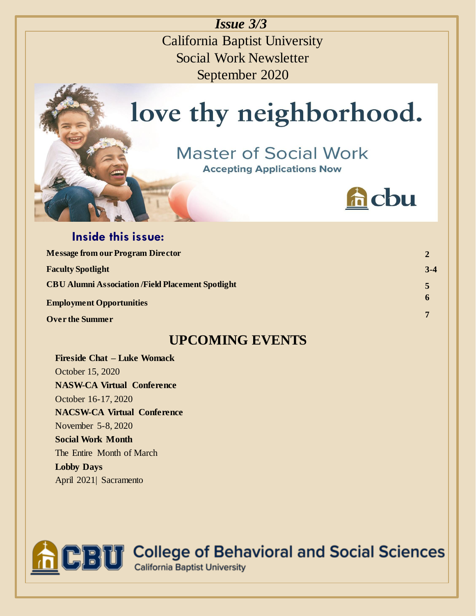*Issue 3/3*

California Baptist University Social Work Newsletter September 2020

# love thy neighborhood.

# **Master of Social Work**

**Accepting Applications Now** 



**2 3-4**

**5 6**

**7**

### **Inside this issue: Message from our Program Director Faculty Spotlight CBU Alumni Association /Field Placement Spotlight Employment Opportunities Over the Summer**

### **UPCOMING EVENTS**

**Fireside Chat – Luke Womack** October 15, 2020 **NASW-CA Virtual Conference** October 16-17, 2020 **NACSW-CA Virtual Conference** November 5-8, 2020 **Social Work Month** The Entire Month of March **Lobby Days** April 2021| Sacramento

**CBU** College of Behavioral and Social Sciences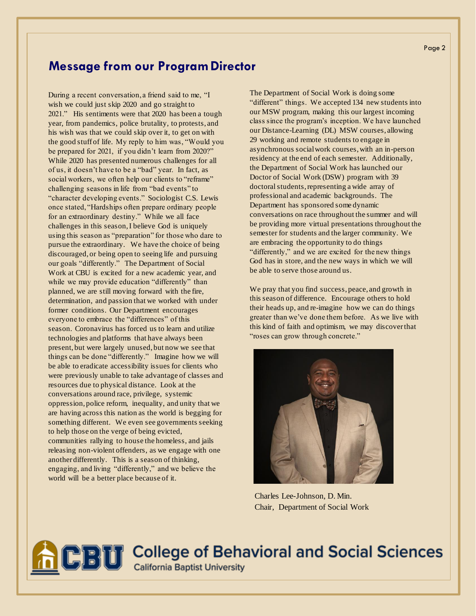#### **Message from our ProgramDirector**

During a recent conversation, a friend said to me, "I wish we could just skip 2020 and go straight to 2021." His sentiments were that 2020 has been a tough year, from pandemics, police brutality, to protests, and his wish was that we could skip over it, to get on with the good stuff of life. My reply to him was, "Would you be prepared for 2021, if you didn't learn from 2020?" While 2020 has presented numerous challenges for all of us, it doesn't have to be a "bad" year. In fact, as social workers, we often help our clients to "reframe" challenging seasons in life from "bad events" to "character developing events." Sociologist C.S. Lewis once stated, "Hardships often prepare ordinary people for an extraordinary destiny." While we all face challenges in this season, I believe God is uniquely using this season as "preparation" for those who dare to pursue the extraordinary. We have the choice of being discouraged, or being open to seeing life and pursuing our goals "differently." The Department of Social Work at CBU is excited for a new academic year, and while we may provide education "differently" than planned, we are still moving forward with the fire, determination, and passion that we worked with under former conditions. Our Department encourages everyone to embrace the "differences" of this season. Coronavirus has forced us to learn and utilize technologies and platforms that have always been present, but were largely unused, but now we see that things can be done "differently." Imagine how we will be able to eradicate accessibility issues for clients who were previously unable to take advantage of classes and resources due to physical distance. Look at the conversations around race, privilege, systemic oppression, police reform, inequality, and unity that we are having across this nation as the world is begging for something different. We even see governments seeking to help those on the verge of being evicted, communities rallying to house the homeless, and jails releasing non-violent offenders, as we engage with one another differently. This is a season of thinking, engaging, and living "differently," and we believe the world will be a better place because of it.

The Department of Social Work is doing some "different" things. We accepted 134 new students into our MSW program, making this our largest incoming class since the program's inception. We have launched our Distance-Learning (DL) MSW courses, allowing 29 working and remote students to engage in asynchronous social work courses, with an in-person residency at the end of each semester. Additionally, the Department of Social Work has launched our Doctor of Social Work (DSW) program with 39 doctoral students, representing a wide array of professional and academic backgrounds. The Department has sponsored some dynamic conversations on race throughout the summer and will be providing more virtual presentations throughout the semester for students and the larger community. We are embracing the opportunity to do things "differently," and we are excited for the new things God has in store, and the new ways in which we will be able to serve those around us.

We pray that you find success, peace, and growth in this season of difference. Encourage others to hold their heads up, and re-imagine how we can do things greater than we've done them before. As we live with this kind of faith and optimism, we may discover that "roses can grow through concrete."



Charles Lee-Johnson, D. Min. Chair, Department of Social Work

**BU** College of Behavioral and Social Sciences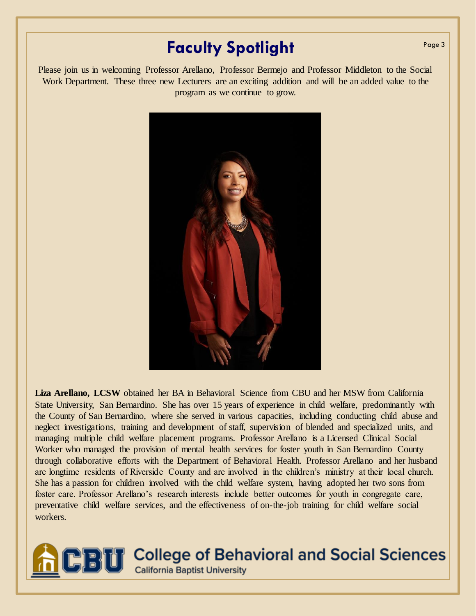### **Faculty Spotlight Faculty**  $\frac{Page3}{Page3}$

Please join us in welcoming Professor Arellano, Professor Bermejo and Professor Middleton to the Social Work Department. These three new Lecturers are an exciting addition and will be an added value to the program as we continue to grow.



Liza Arellano, LCSW obtained her BA in Behavioral Science from CBU and her MSW from California State University, San Bernardino. She has over 15 years of experience in child welfare, predominantly with the County of San Bernardino, where she served in various capacities, including conducting child abuse and neglect investigations, training and development of staff, supervision of blended and specialized units, and managing multiple child welfare placement programs. Professor Arellano is a Licensed Clinical Social Worker who managed the provision of mental health services for foster youth in San Bernardino County through collaborative efforts with the Department of Behavioral Health. Professor Arellano and her husband are longtime residents of Riverside County and are involved in the children's ministry at their local church. She has a passion for children involved with the child welfare system, having adopted her two sons from foster care. Professor Arellano's research interests include better outcomes for youth in congregate care, preventative child welfare services, and the effectiveness of on-the-job training for child welfare social workers.



**College of Behavioral and Social Sciences** 

**California Baptist University**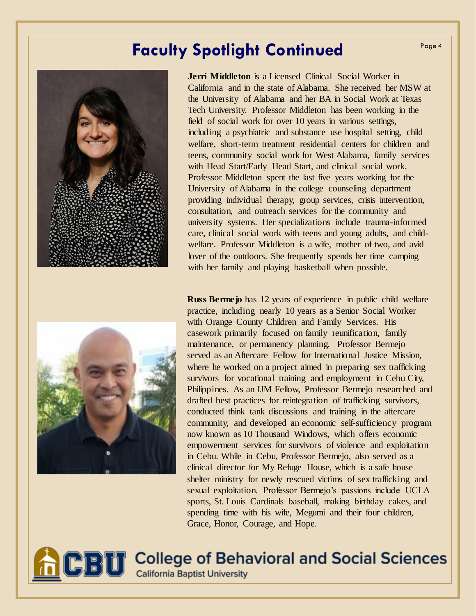### **Faculty Spotlight Continued Page 4**





**Jerri Middleton** is a Licensed Clinical Social Worker in California and in the state of Alabama. She received her MSW at the University of Alabama and her BA in Social Work at Texas Tech University. Professor Middleton has been working in the field of social work for over 10 years in various settings, including a psychiatric and substance use hospital setting, child welfare, short-term treatment residential centers for children and teens, community social work for West Alabama, family services with Head Start/Early Head Start, and clinical social work. Professor Middleton spent the last five years working for the University of Alabama in the college counseling department providing individual therapy, group services, crisis intervention, consultation, and outreach services for the community and university systems. Her specializations include trauma-informed care, clinical social work with teens and young adults, and childwelfare. Professor Middleton is a wife, mother of two, and avid lover of the outdoors. She frequently spends her time camping with her family and playing basketball when possible.

**Russ Bermejo** has 12 years of experience in public child welfare practice, including nearly 10 years as a Senior Social Worker with Orange County Children and Family Services. His casework primarily focused on family reunification, family maintenance, or permanency planning. Professor Bermejo served as an Aftercare Fellow for International Justice Mission, where he worked on a project aimed in preparing sex trafficking survivors for vocational training and employment in Cebu City, Philippines. As an IJM Fellow, Professor Bermejo researched and drafted best practices for reintegration of trafficking survivors, conducted think tank discussions and training in the aftercare community, and developed an economic self-sufficiency program now known as 10 Thousand Windows, which offers economic empowerment services for survivors of violence and exploitation in Cebu. While in Cebu, Professor Bermejo, also served as a clinical director for My Refuge House, which is a safe house shelter ministry for newly rescued victims of sex trafficking and sexual exploitation. Professor Bermejo's passions include UCLA sports, St. Louis Cardinals baseball, making birthday cakes, and spending time with his wife, Megumi and their four children, Grace, Honor, Courage, and Hope.



**BU** College of Behavioral and Social Sciences **California Baptist University**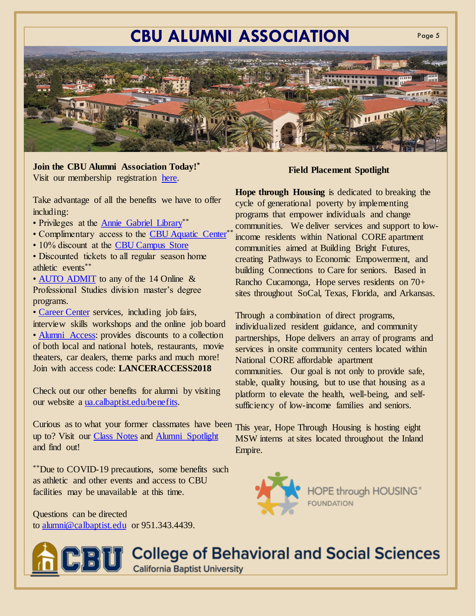## **CBU ALUMNI ASSOCIATION**



#### **Join the CBU Alumni Association Today!\***

Visit our membership registration [here.](https://ua.calbaptist.edu/join-now)

. Take advantage of all the benefits we have to offer including:

- Privileges at the [Annie Gabriel Library](https://www.calbaptist.edu/library/index.php)\*\*
- Complimentary access to the [CBU Aquatic Center](http://www.cbulancers.com/sports/2014/7/17/GEN_0717143435.aspx)\*\*
- 10% discount at the [CBU Campus Store](http://bookstore.calbaptist.edu/)
- Discounted tickets to all regular season home athletic events\*\*

• [AUTO ADMIT](https://www.cbuonline.edu/apply) to any of the 14 Online & Professional Studies division master's degree programs.

• [Career Center](https://calbaptist.edu/career-center/) services, including job fairs, interview skills workshops and the online job board • [Alumni Access:](https://cbuperks.enjoymydeals.com/) provides discounts to a collection of both local and national hotels, restaurants, movie theaters, car dealers, theme parks and much more! Join with access code: **LANCERACCESS2018** 

Check out our other benefits for alumni by visiting our website a [ua.calbaptist.edu/benefits.](https://ua.calbaptist.edu/benefits)

Curious as to what your former classmates have been This year, Hope Through Housing is hosting eight up to? Visit our [Class Notes](https://ua.calbaptist.edu/ClassNotes) and [Alumni Spotlight](https://ua.calbaptist.edu/alumnispotlight) and find out!

\*\*Due to COVID-19 precautions, some benefits such as athletic and other events and access to CBU facilities may be unavailable at this time.

Questions can be directed to [alumni@calbaptist.edu](mailto:alumni@calbaptist.edu) or 951.343.4439.

#### **Field Placement Spotlight**

Page 5

**Hope through Housing** is dedicated to breaking the cycle of generational poverty by implementing programs that empower individuals and change communities. We deliver services and support to lowincome residents within National CORE apartment communities aimed at Building Bright Futures, creating Pathways to Economic Empowerment, and building Connections to Care for seniors. Based in Rancho Cucamonga, Hope serves residents on 70+ sites throughout SoCal, Texas, Florida, and Arkansas.

Through a combination of direct programs, individualized resident guidance, and community partnerships, Hope delivers an array of programs and services in onsite community centers located within National CORE affordable apartment communities. Our goal is not only to provide safe, stable, quality housing, but to use that housing as a platform to elevate the health, well-being, and selfsufficiency of low-income families and seniors.

MSW interns at sites located throughout the Inland Empire.



**BU** College of Behavioral and Social Sciences **California Baptist University**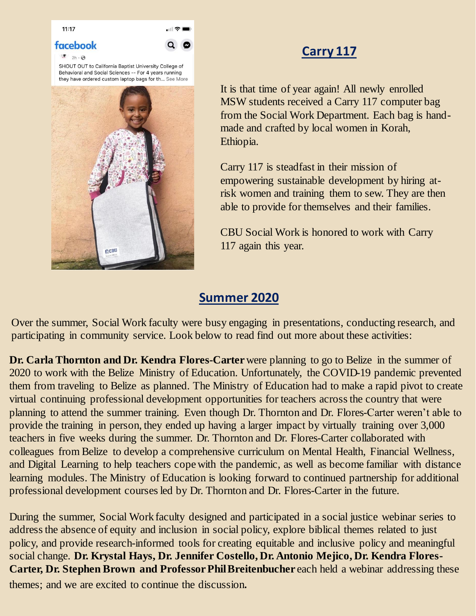

SHOUT OUT to California Baptist University College of Behavioral and Social Sciences -- For 4 years running they have ordered custom laptop bags for th... See More

.⊪ ೯



### **Carry 117**

It is that time of year again! All newly enrolled MSW students received a Carry 117 computer bag from the Social Work Department. Each bag is handmade and crafted by local women in Korah, Ethiopia.

Carry 117 is steadfast in their mission of empowering sustainable development by hiring atrisk women and training them to sew. They are then able to provide for themselves and their families.

CBU Social Work is honored to work with Carry 117 again this year.

### **Summer 2020**

Over the summer, Social Work faculty were busy engaging in presentations, conducting research, and participating in community service. Look below to read find out more about these activities:

**Dr. Carla Thornton and Dr. Kendra Flores-Carter** were planning to go to Belize in the summer of 2020 to work with the Belize Ministry of Education. Unfortunately, the COVID-19 pandemic prevented them from traveling to Belize as planned. The Ministry of Education had to make a rapid pivot to create virtual continuing professional development opportunities for teachers across the country that were planning to attend the summer training. Even though Dr. Thornton and Dr. Flores-Carter weren't able to provide the training in person, they ended up having a larger impact by virtually training over 3,000 teachers in five weeks during the summer. Dr. Thornton and Dr. Flores-Carter collaborated with colleagues from Belize to develop a comprehensive curriculum on Mental Health, Financial Wellness, and Digital Learning to help teachers cope with the pandemic, as well as become familiar with distance learning modules. The Ministry of Education is looking forward to continued partnership for additional professional development courses led by Dr. Thornton and Dr. Flores-Carter in the future.

During the summer, Social Work faculty designed and participated in a social justice webinar series to address the absence of equity and inclusion in social policy, explore biblical themes related to just policy, and provide research-informed tools for creating equitable and inclusive policy and meaningful social change. **Dr. Krystal Hays, Dr. Jennifer Costello, Dr. Antonio Mejico, Dr. Kendra Flores-Carter, Dr. Stephen Brown and Professor Phil Breitenbucher** each held a webinar addressing these themes; and we are excited to continue the discussion.